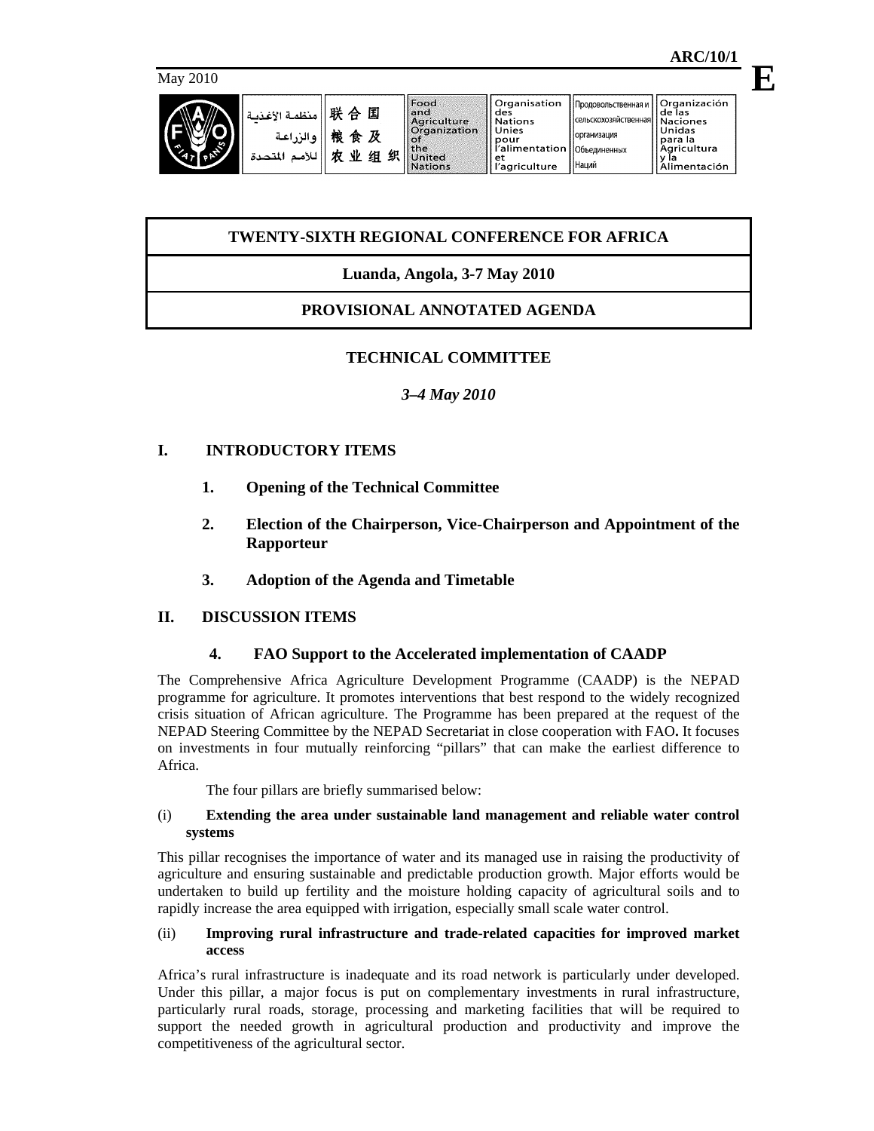| May 2010                             |                                        |                                                                                                         |                                                                                                               |                                                                                                         | 1.1.1.11.01.1                                                         |  |
|--------------------------------------|----------------------------------------|---------------------------------------------------------------------------------------------------------|---------------------------------------------------------------------------------------------------------------|---------------------------------------------------------------------------------------------------------|-----------------------------------------------------------------------|--|
| منظمة الأغذمة<br>والزراعة<br>المتحدة | 联合<br>国<br>桹<br>食及<br>业<br>贞<br>织<br>组 | Food<br>landi<br>Agriculture<br><b>Organization</b><br><b>Line</b><br><b>IlUnited</b><br><b>Nations</b> | Organisation<br>des<br><b>Nations</b><br>Unies<br>pour<br>l'alimentation   Объединенных<br>et<br>'agriculture | Продовольственная и     Organización<br>Ісельскохозяйственная  Naciones<br><b>Горганизация</b><br>Наций | l de las<br>Unidas<br>Ipara la<br>l Aaricultura<br>та<br>Alimentación |  |

# **TWENTY-SIXTH REGIONAL CONFERENCE FOR AFRICA**

# **Luanda, Angola, 3-7 May 2010**

# **PROVISIONAL ANNOTATED AGENDA**

# **TECHNICAL COMMITTEE**

# *3–4 May 2010*

# **I. INTRODUCTORY ITEMS**

- **1. Opening of the Technical Committee**
- **2. Election of the Chairperson, Vice-Chairperson and Appointment of the Rapporteur**
- **3. Adoption of the Agenda and Timetable**

# **II. DISCUSSION ITEMS**

## **4. FAO Support to the Accelerated implementation of CAADP**

The Comprehensive Africa Agriculture Development Programme (CAADP) is the NEPAD programme for agriculture. It promotes interventions that best respond to the widely recognized crisis situation of African agriculture. The Programme has been prepared at the request of the NEPAD Steering Committee by the NEPAD Secretariat in close cooperation with FAO**.** It focuses on investments in four mutually reinforcing "pillars" that can make the earliest difference to Africa.

The four pillars are briefly summarised below:

## (i) **Extending the area under sustainable land management and reliable water control systems**

This pillar recognises the importance of water and its managed use in raising the productivity of agriculture and ensuring sustainable and predictable production growth. Major efforts would be undertaken to build up fertility and the moisture holding capacity of agricultural soils and to rapidly increase the area equipped with irrigation, especially small scale water control.

### (ii) **Improving rural infrastructure and trade-related capacities for improved market access**

Africa's rural infrastructure is inadequate and its road network is particularly under developed. Under this pillar, a major focus is put on complementary investments in rural infrastructure, particularly rural roads, storage, processing and marketing facilities that will be required to support the needed growth in agricultural production and productivity and improve the competitiveness of the agricultural sector.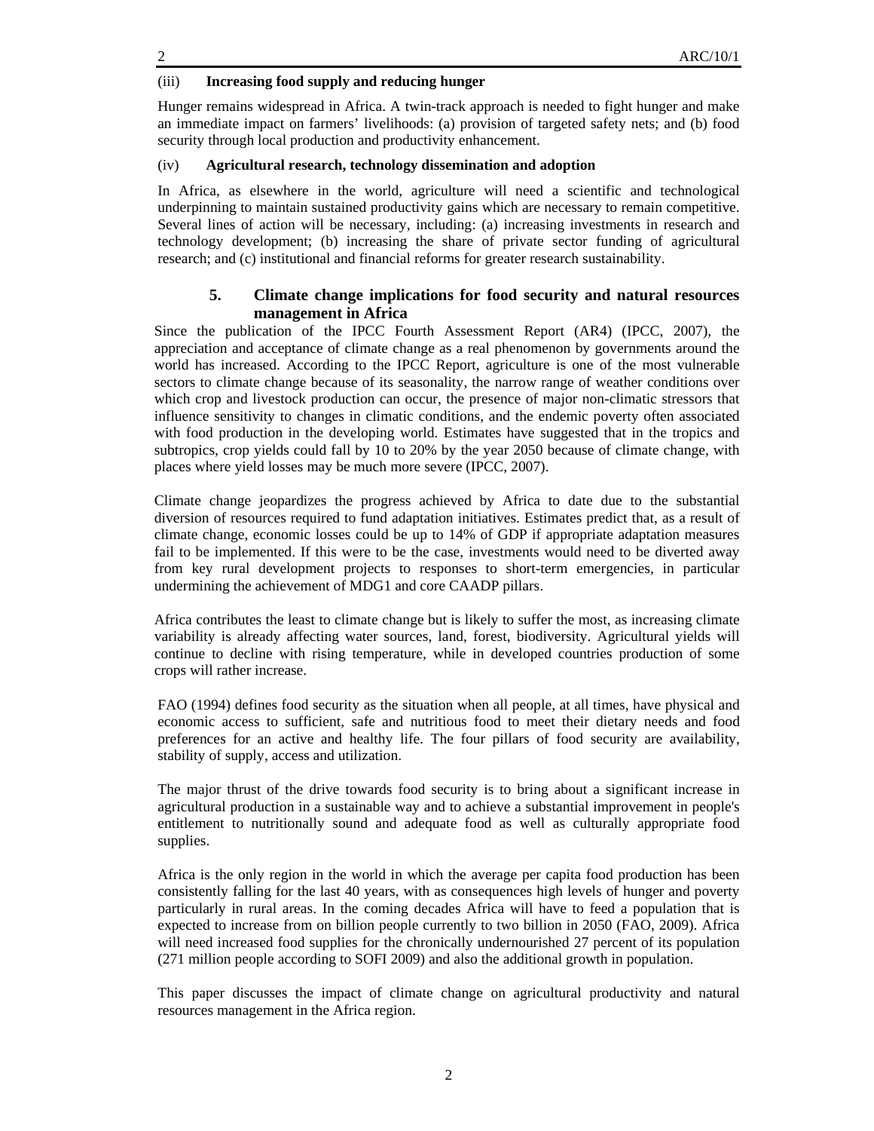## (iii) **Increasing food supply and reducing hunger**

Hunger remains widespread in Africa. A twin-track approach is needed to fight hunger and make an immediate impact on farmers' livelihoods: (a) provision of targeted safety nets; and (b) food security through local production and productivity enhancement.

## (iv) **Agricultural research, technology dissemination and adoption**

In Africa, as elsewhere in the world, agriculture will need a scientific and technological underpinning to maintain sustained productivity gains which are necessary to remain competitive. Several lines of action will be necessary, including: (a) increasing investments in research and technology development; (b) increasing the share of private sector funding of agricultural research; and (c) institutional and financial reforms for greater research sustainability.

# **5. Climate change implications for food security and natural resources management in Africa**

Since the publication of the IPCC Fourth Assessment Report (AR4) (IPCC, 2007), the appreciation and acceptance of climate change as a real phenomenon by governments around the world has increased. According to the IPCC Report, agriculture is one of the most vulnerable sectors to climate change because of its seasonality, the narrow range of weather conditions over which crop and livestock production can occur, the presence of major non-climatic stressors that influence sensitivity to changes in climatic conditions, and the endemic poverty often associated with food production in the developing world. Estimates have suggested that in the tropics and subtropics, crop yields could fall by 10 to 20% by the year 2050 because of climate change, with places where yield losses may be much more severe (IPCC, 2007).

Climate change jeopardizes the progress achieved by Africa to date due to the substantial diversion of resources required to fund adaptation initiatives. Estimates predict that, as a result of climate change, economic losses could be up to 14% of GDP if appropriate adaptation measures fail to be implemented. If this were to be the case, investments would need to be diverted away from key rural development projects to responses to short-term emergencies, in particular undermining the achievement of MDG1 and core CAADP pillars.

Africa contributes the least to climate change but is likely to suffer the most, as increasing climate variability is already affecting water sources, land, forest, biodiversity. Agricultural yields will continue to decline with rising temperature, while in developed countries production of some crops will rather increase.

FAO (1994) defines food security as the situation when all people, at all times, have physical and economic access to sufficient, safe and nutritious food to meet their dietary needs and food preferences for an active and healthy life. The four pillars of food security are availability, stability of supply, access and utilization.

The major thrust of the drive towards food security is to bring about a significant increase in agricultural production in a sustainable way and to achieve a substantial improvement in people's entitlement to nutritionally sound and adequate food as well as culturally appropriate food supplies.

Africa is the only region in the world in which the average per capita food production has been consistently falling for the last 40 years, with as consequences high levels of hunger and poverty particularly in rural areas. In the coming decades Africa will have to feed a population that is expected to increase from on billion people currently to two billion in 2050 (FAO, 2009). Africa will need increased food supplies for the chronically undernourished 27 percent of its population (271 million people according to SOFI 2009) and also the additional growth in population.

This paper discusses the impact of climate change on agricultural productivity and natural resources management in the Africa region.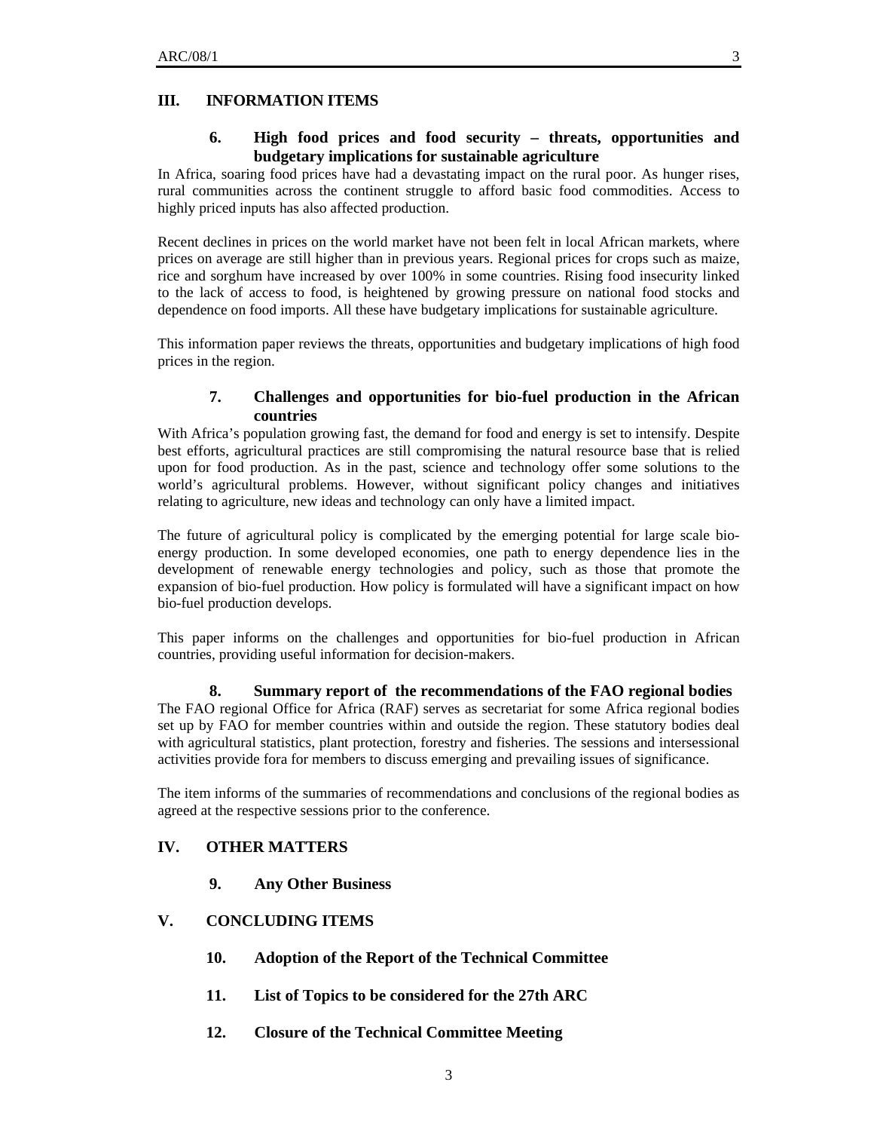#### **III. INFORMATION ITEMS**

## **6. High food prices and food security – threats, opportunities and budgetary implications for sustainable agriculture**

In Africa, soaring food prices have had a devastating impact on the rural poor. As hunger rises, rural communities across the continent struggle to afford basic food commodities. Access to highly priced inputs has also affected production.

Recent declines in prices on the world market have not been felt in local African markets, where prices on average are still higher than in previous years. Regional prices for crops such as maize, rice and sorghum have increased by over 100% in some countries. Rising food insecurity linked to the lack of access to food, is heightened by growing pressure on national food stocks and dependence on food imports. All these have budgetary implications for sustainable agriculture.

This information paper reviews the threats, opportunities and budgetary implications of high food prices in the region.

## **7. Challenges and opportunities for bio-fuel production in the African countries**

With Africa's population growing fast, the demand for food and energy is set to intensify. Despite best efforts, agricultural practices are still compromising the natural resource base that is relied upon for food production. As in the past, science and technology offer some solutions to the world's agricultural problems. However, without significant policy changes and initiatives relating to agriculture, new ideas and technology can only have a limited impact.

The future of agricultural policy is complicated by the emerging potential for large scale bioenergy production. In some developed economies, one path to energy dependence lies in the development of renewable energy technologies and policy, such as those that promote the expansion of bio-fuel production. How policy is formulated will have a significant impact on how bio-fuel production develops.

This paper informs on the challenges and opportunities for bio-fuel production in African countries, providing useful information for decision-makers.

#### **8. Summary report of the recommendations of the FAO regional bodies**

The FAO regional Office for Africa (RAF) serves as secretariat for some Africa regional bodies set up by FAO for member countries within and outside the region. These statutory bodies deal with agricultural statistics, plant protection, forestry and fisheries. The sessions and intersessional activities provide fora for members to discuss emerging and prevailing issues of significance.

The item informs of the summaries of recommendations and conclusions of the regional bodies as agreed at the respective sessions prior to the conference.

# **IV. OTHER MATTERS**

**9. Any Other Business** 

## **V. CONCLUDING ITEMS**

- **10. Adoption of the Report of the Technical Committee**
- **11. List of Topics to be considered for the 27th ARC**
- **12. Closure of the Technical Committee Meeting**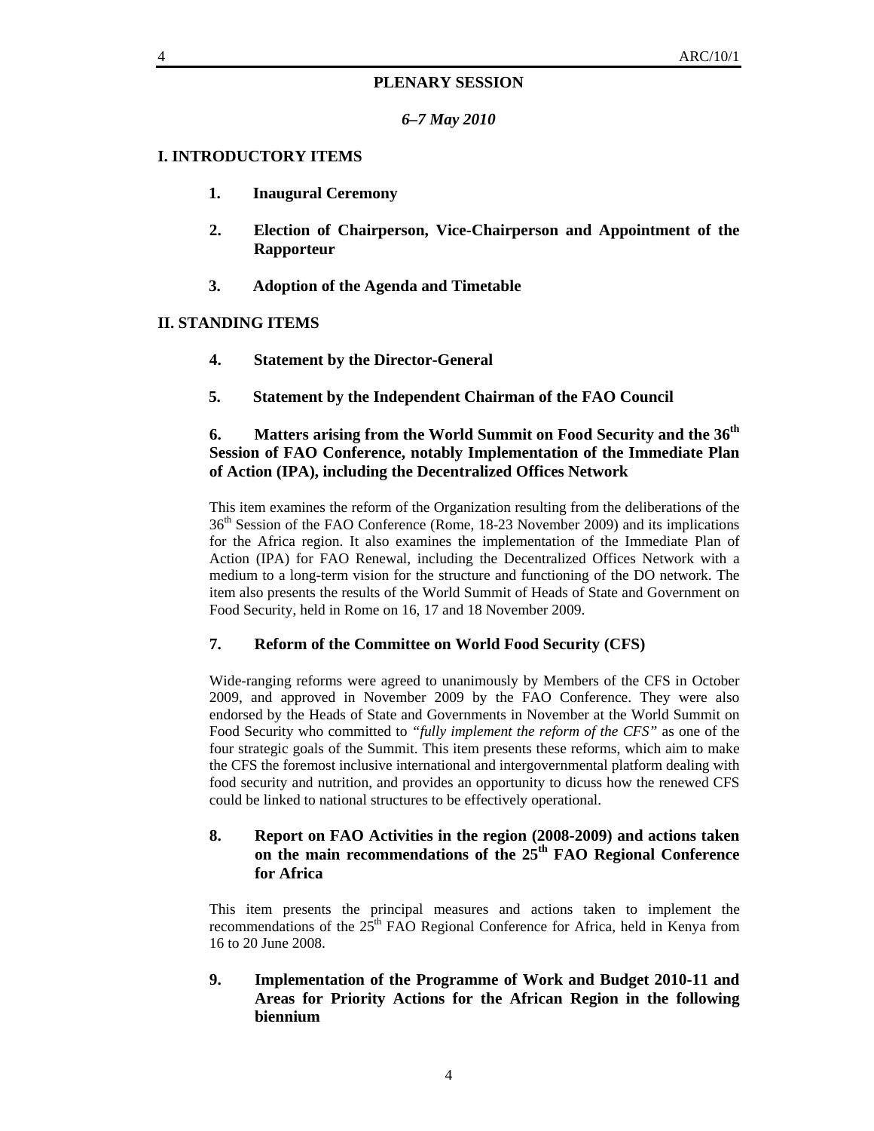## **PLENARY SESSION**

*6–7 May 2010* 

## **I. INTRODUCTORY ITEMS**

- **1. Inaugural Ceremony**
- **2. Election of Chairperson, Vice-Chairperson and Appointment of the Rapporteur**
- **3. Adoption of the Agenda and Timetable**

## **II. STANDING ITEMS**

- **4. Statement by the Director-General**
- **5. Statement by the Independent Chairman of the FAO Council**

# **6. Matters arising from the World Summit on Food Security and the 36th Session of FAO Conference, notably Implementation of the Immediate Plan of Action (IPA), including the Decentralized Offices Network**

This item examines the reform of the Organization resulting from the deliberations of the 36th Session of the FAO Conference (Rome, 18-23 November 2009) and its implications for the Africa region. It also examines the implementation of the Immediate Plan of Action (IPA) for FAO Renewal, including the Decentralized Offices Network with a medium to a long-term vision for the structure and functioning of the DO network. The item also presents the results of the World Summit of Heads of State and Government on Food Security, held in Rome on 16, 17 and 18 November 2009.

## **7. Reform of the Committee on World Food Security (CFS)**

Wide-ranging reforms were agreed to unanimously by Members of the CFS in October 2009, and approved in November 2009 by the FAO Conference. They were also endorsed by the Heads of State and Governments in November at the World Summit on Food Security who committed to *"fully implement the reform of the CFS"* as one of the four strategic goals of the Summit. This item presents these reforms, which aim to make the CFS the foremost inclusive international and intergovernmental platform dealing with food security and nutrition, and provides an opportunity to dicuss how the renewed CFS could be linked to national structures to be effectively operational.

# **8. Report on FAO Activities in the region (2008-2009) and actions taken on the main recommendations of the 25th FAO Regional Conference for Africa**

This item presents the principal measures and actions taken to implement the recommendations of the  $25<sup>th</sup>$  FAO Regional Conference for Africa, held in Kenya from 16 to 20 June 2008.

**9. Implementation of the Programme of Work and Budget 2010-11 and Areas for Priority Actions for the African Region in the following biennium**